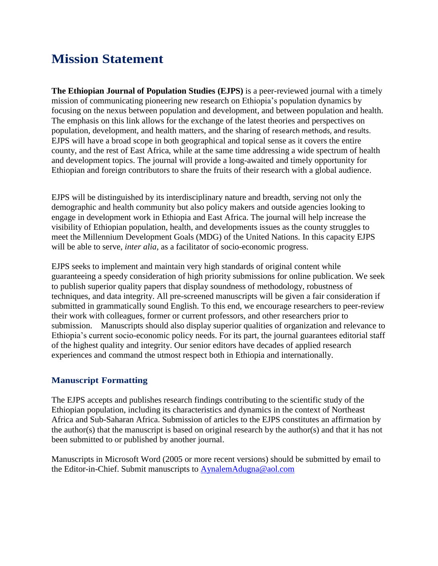# **Mission Statement**

**The Ethiopian Journal of Population Studies (EJPS)** is a peer-reviewed journal with a timely mission of communicating pioneering new research on Ethiopia's population dynamics by focusing on the nexus between population and development, and between population and health. The emphasis on this link allows for the exchange of the latest theories and perspectives on population, development, and health matters, and the sharing of research methods, and results. EJPS will have a broad scope in both geographical and topical sense as it covers the entire county, and the rest of East Africa, while at the same time addressing a wide spectrum of health and development topics. The journal will provide a long-awaited and timely opportunity for Ethiopian and foreign contributors to share the fruits of their research with a global audience.

EJPS will be distinguished by its interdisciplinary nature and breadth, serving not only the demographic and health community but also policy makers and outside agencies looking to engage in development work in Ethiopia and East Africa. The journal will help increase the visibility of Ethiopian population, health, and developments issues as the county struggles to meet the Millennium Development Goals (MDG) of the United Nations. In this capacity EJPS will be able to serve, *inter alia*, as a facilitator of socio-economic progress.

EJPS seeks to implement and maintain very high standards of original content while guaranteeing a speedy consideration of high priority submissions for online publication. We seek to publish superior quality papers that display soundness of methodology, robustness of techniques, and data integrity. All pre-screened manuscripts will be given a fair consideration if submitted in grammatically sound English. To this end, we encourage researchers to peer-review their work with colleagues, former or current professors, and other researchers prior to submission. Manuscripts should also display superior qualities of organization and relevance to Ethiopia's current socio-economic policy needs. For its part, the journal guarantees editorial staff of the highest quality and integrity. Our senior editors have decades of applied research experiences and command the utmost respect both in Ethiopia and internationally.

## **Manuscript Formatting**

The EJPS accepts and publishes research findings contributing to the scientific study of the Ethiopian population, including its characteristics and dynamics in the context of Northeast Africa and Sub-Saharan Africa. Submission of articles to the EJPS constitutes an affirmation by the author(s) that the manuscript is based on original research by the author(s) and that it has not been submitted to or published by another journal.

Manuscripts in Microsoft Word (2005 or more recent versions) should be submitted by email to the Editor-in-Chief. Submit manuscripts to [AynalemAdugna@aol.com](mailto:AynalemAdugna@aol.com)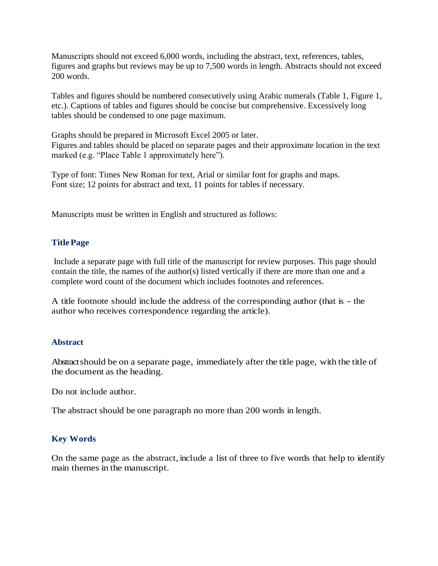Manuscripts should not exceed 6,000 words, including the abstract, text, references, tables, figures and graphs but reviews may be up to 7,500 words in length. Abstracts should not exceed 200 words.

Tables and figures should be numbered consecutively using Arabic numerals (Table 1, Figure 1, etc.). Captions of tables and figures should be concise but comprehensive. Excessively long tables should be condensed to one page maximum.

Graphs should be prepared in Microsoft Excel 2005 or later. Figures and tables should be placed on separate pages and their approximate location in the text marked (e.g. "Place Table 1 approximately here").

Type of font: Times New Roman for text, Arial or similar font for graphs and maps. Font size; 12 points for abstract and text, 11 points for tables if necessary.

Manuscripts must be written in English and structured as follows:

## **TitlePage**

Include a separate page with full title of the manuscript for review purposes. This page should contain the title, the names of the author(s) listed vertically if there are more than one and a complete word count of the document which includes footnotes and references.

A title footnote should include the address of the corresponding author (that is - the author who receives correspondence regarding the article).

## **Abstract**

Abstract should be on a separate page, immediately after the title page, with the title of the document as the heading.

Do not include author.

The abstract should be one paragraph no more than 200 words in length.

## **Key Words**

On the same page as the abstract, include a list of three to five words that help to identify main themes in the manuscript.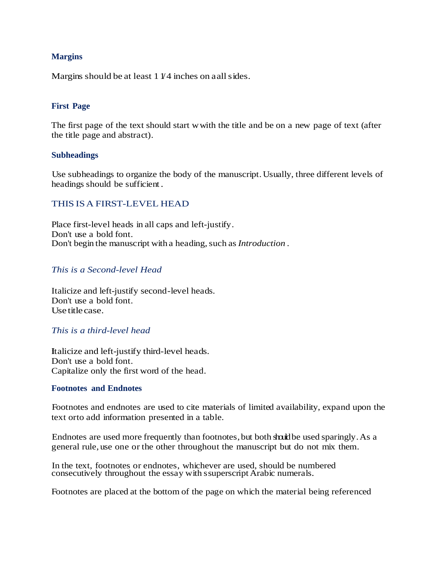## **Margins**

Margins should be at least  $11/4$  inches on aall sides.

## **First Page**

The first page of the text should start wwith the title and be on a new page of text (after the title page and abstract).

#### **Subheadings**

Use subheadings to organize the body of the manuscript.Usually, three different levels of headings should be sufficient .

## THIS ISA FIRST-LEVEL HEAD

Place first-level heads in all caps and left-justify. Don't use a bold font. Don't begin the manuscript with a heading, such as *Introduction*.

## *This is a Second-level Head*

Italicize and left-justify second-level heads. Don't use a bold font. Use titlecase.

## *This is a third-level head*

Italicize and left-justify third-level heads. Don't use a bold font. Capitalize only the first word of the head.

#### **Footnotes and Endnotes**

Footnotes and endnotes are used to cite materials of limited availability, expand upon the text orto add information presented in a table.

Endnotes are used more frequently than footnotes, but both should be used sparingly. As a general rule, use one or the other throughout the manuscript but do not mix them.

In the text, footnotes or endnotes, whichever are used, should be numbered consecutively throughout the essay with ssuperscript Arabic numerals.

Footnotes are placed at the bottom of the page on which the material being referenced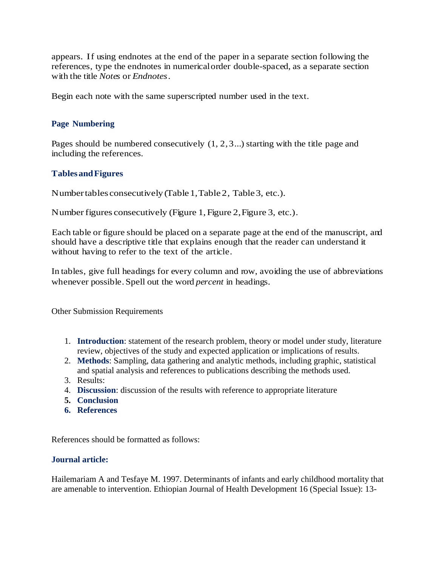appears. If using endnotes at the end of the paper in a separate section following the references, type the endnotes in numericalorder double-spaced, as a separate section with the title *Notes* or *Endnotes.*

Begin each note with the same superscripted number used in the text.

## **Page Numbering**

Pages should be numbered consecutively (1, 2,3...) starting with the title page and including the references.

## **Tables andFigures**

Numbertables consecutively (Table1,Table2, Table3, etc.).

Numberfigures consecutively (Figure 1, Figure 2,Figure 3, etc.).

Each table or figure should be placed on a separate page at the end of the manuscript, and should have a descriptive title that explains enough that the reader can understand it without having to refer to the text of the article.

In tables, give full headings for every column and row, avoiding the use of abbreviations whenever possible.Spell out the word *percent* in headings.

Other Submission Requirements

- 1. **Introduction**: statement of the research problem, theory or model under study, literature review, objectives of the study and expected application or implications of results.
- 2. **Methods**: Sampling, data gathering and analytic methods, including graphic, statistical and spatial analysis and references to publications describing the methods used.
- 3. Results:
- 4. **Discussion**: discussion of the results with reference to appropriate literature
- **5. Conclusion**
- **6. References**

References should be formatted as follows:

## **Journal article:**

Hailemariam A and Tesfaye M. 1997. Determinants of infants and early childhood mortality that are amenable to intervention. Ethiopian Journal of Health Development 16 (Special Issue): 13-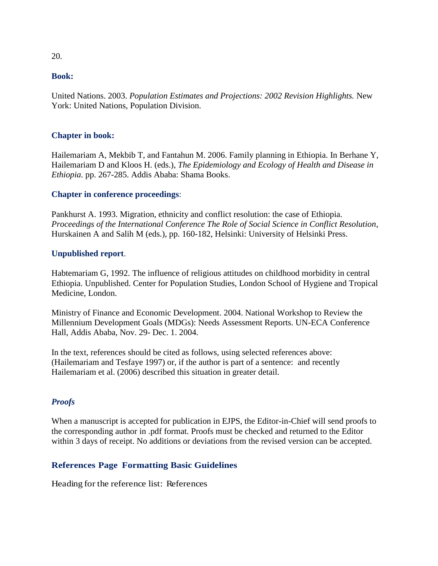## **Book:**

United Nations. 2003. *Population Estimates and Projections: 2002 Revision Highlights.* New York: United Nations, Population Division.

## **Chapter in book:**

Hailemariam A, Mekbib T, and Fantahun M. 2006. Family planning in Ethiopia. In Berhane Y, Hailemariam D and Kloos H. (eds.), *The Epidemiology and Ecology of Health and Disease in Ethiopia.* pp. 267-285. Addis Ababa: Shama Books.

#### **Chapter in conference proceedings**:

Pankhurst A. 1993. Migration, ethnicity and conflict resolution: the case of Ethiopia. *Proceedings of the International Conference The Role of Social Science in Conflict Resolution*, Hurskainen A and Salih M (eds.), pp. 160-182, Helsinki: University of Helsinki Press.

#### **Unpublished report**.

Habtemariam G, 1992. The influence of religious attitudes on childhood morbidity in central Ethiopia. Unpublished. Center for Population Studies, London School of Hygiene and Tropical Medicine, London.

Ministry of Finance and Economic Development. 2004. National Workshop to Review the Millennium Development Goals (MDGs): Needs Assessment Reports. UN-ECA Conference Hall, Addis Ababa, Nov. 29- Dec. 1. 2004.

In the text, references should be cited as follows, using selected references above: (Hailemariam and Tesfaye 1997) or, if the author is part of a sentence: and recently Hailemariam et al. (2006) described this situation in greater detail.

## *Proofs*

When a manuscript is accepted for publication in EJPS, the Editor-in-Chief will send proofs to the corresponding author in .pdf format. Proofs must be checked and returned to the Editor within 3 days of receipt. No additions or deviations from the revised version can be accepted.

## **References Page Formatting Basic Guidelines**

Heading for the reference list: References

#### 20.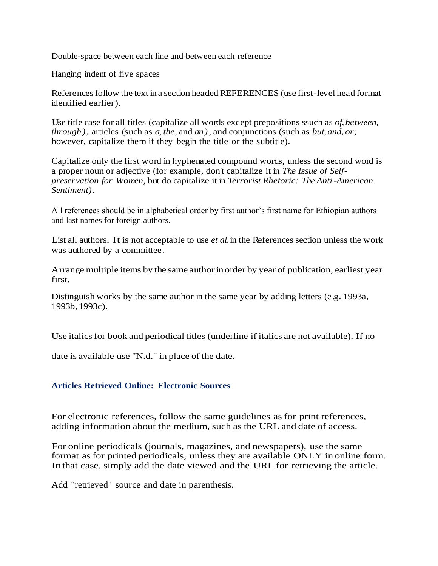Double-space between each line and between each reference

Hanging indent of five spaces

References follow the text in a section headed REFERENCES (use first-level head format identified earlier).

Use title case for all titles (capitalize all words except prepositions ssuch as *of, between, through),* articles (such as *a, the,* and *an),* and conjunctions (such as *but, and, or;* however, capitalize them if they begin the title or the subtitle).

Capitalize only the first word in hyphenated compound words, unless the second word is a proper noun or adjective (for example, don't capitalize it in *The Issue of Selfpreservation for Women,* but do capitalize it in *Terrorist Rhetoric: The Anti-American Sentiment).*

All references should be in alphabetical order by first author's first name for Ethiopian authors and last names for foreign authors.

List all authors. It is not acceptable to use *et al.* in the References section unless the work was authored by a committee.

Arrange multiple items by the same author in order by year of publication, earliest year first.

Distinguish works by the same author in the same year by adding letters (e.g. 1993a, 1993b,1993c).

Use italics for book and periodical titles (underline if italics are not available). If no

date is available use "N.d." in place of the date.

#### **Articles Retrieved Online: Electronic Sources**

For electronic references, follow the same guidelines as for print references, adding information about the medium, such as the URL and date of access.

For online periodicals (journals, magazines, and newspapers), use the same format as for printed periodicals, unless they are available ONLY in online form. Inthat case, simply add the date viewed and the URL for retrieving the article.

Add "retrieved" source and date in parenthesis.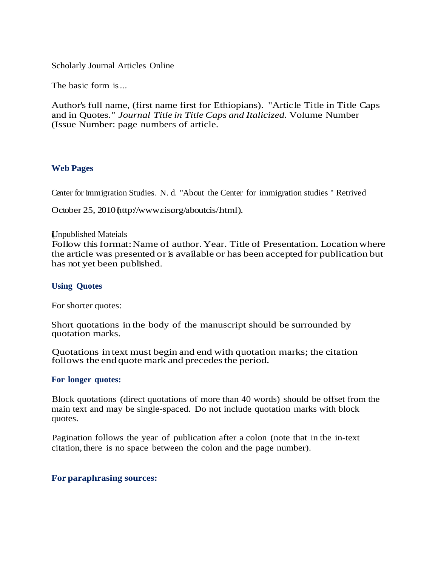Scholarly Journal Articles Online

The basic form is...

Author's full name, (first name first for Ethiopians). "Article Title in Title Caps and in Quotes." *Journal Title in Title Caps and Italicized.* Volume Number (Issue Number: page numbers of article.

#### **Web Pages**

Center for Immigration Studies. N. d. "About the Center for immigration studies " Retrived

October 25, 2010 http://www.cisorg/aboutcis/html).

#### (Unpublished Mateials

Follow this format: Name of author. Year. Title of Presentation. Location where the article was presented or is available or has been accepted for publication but has not yet been published.

#### **Using Quotes**

For shorter quotes:

Short quotations in the body of the manuscript should be surrounded by quotation marks.

Quotations in text must begin and end with quotation marks; the citation follows the end quote mark and precedes the period.

#### **For longer quotes:**

Block quotations (direct quotations of more than 40 words) should be offset from the main text and may be single-spaced. Do not include quotation marks with block quotes.

Pagination follows the year of publication after a colon (note that in the in-text citation, there is no space between the colon and the page number).

#### **For paraphrasing sources:**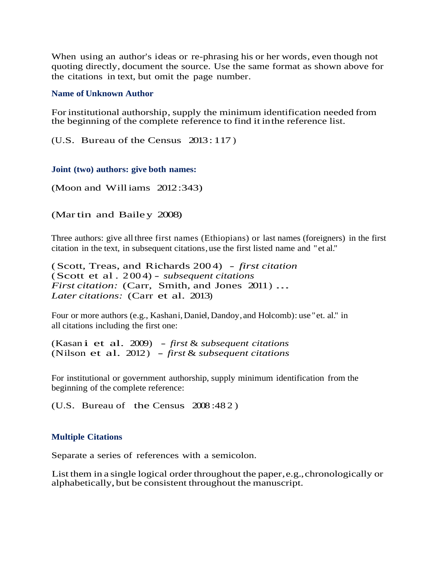When using an author's ideas or re-phrasing his or her words, even though not quoting directly, document the source. Use the same format as shown above for the citations in text, but omit the page number.

#### **Name of Unknown Author**

For institutional authorship, supply the minimum identification needed from the beginning of the complete reference to find it inthe reference list.

(U.S. Bureau of the Census 2013: 117 )

#### **Joint (two) authors: give both names:**

(Moon and Williams 2012:343)

(Martin and Bailey 2008)

Three authors: give all three first names (Ethiopians) or last names (foreigners) in the first citation in the text, in subsequent citations,use the first listed name and "et al."

(Scott, Treas, and Richards 200 4) - *first citation* (Scott et al . 2 00 4) - *subsequent citations First citation:* (Carr, Smith, and Jones 2011) ... *Later citations:* (Carr et al. 2013)

Four or more authors (e.g., Kashani, Daniel, Dandoy, and Holcomb): use "et. al." in all citations including the first one:

(Kasan i et al. 2009) - *first* & *subsequent citations* (Nilson et al. 2012) - *first* & *subsequent citations*

For institutional or government authorship, supply minimum identification from the beginning of the complete reference:

(U.S. Bureau of the Census 2008 :48 2 )

#### **Multiple Citations**

Separate a series of references with a semicolon.

List them in a single logical order throughout the paper, e.g., chronologically or alphabetically, but be consistent throughout the manuscript.